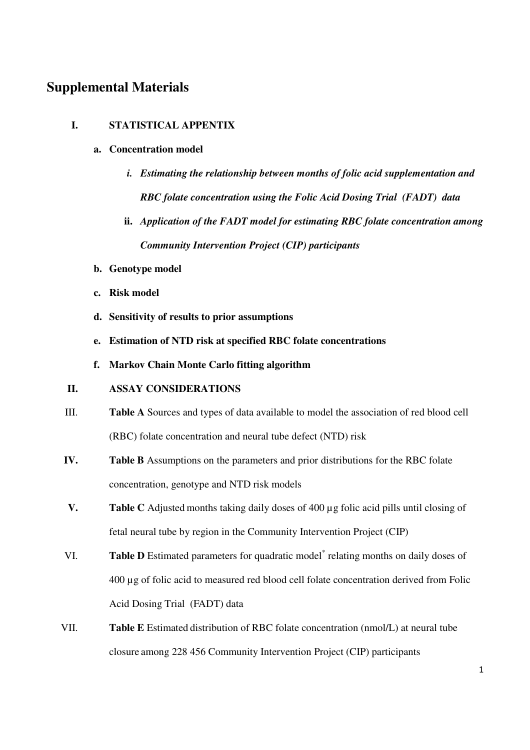# **Supplemental Materials**

## **I. STATISTICAL APPENTIX**

#### **a. Concentration model**

- *i. Estimating the relationship between months of folic acid supplementation and RBC folate concentration using the Folic Acid Dosing Trial (FADT) data*
- **ii.** *Application of the FADT model for estimating RBC folate concentration among Community Intervention Project (CIP) participants*
- **b. Genotype model**
- **c. Risk model**
- **d. Sensitivity of results to prior assumptions**
- **e. Estimation of NTD risk at specified RBC folate concentrations**
- **f. Markov Chain Monte Carlo fitting algorithm**

# **II. ASSAY CONSIDERATIONS**

- III. **Table A** Sources and types of data available to model the association of red blood cell (RBC) folate concentration and neural tube defect (NTD) risk
- **IV. Table B** Assumptions on the parameters and prior distributions for the RBC folate concentration, genotype and NTD risk models
- **V. Table C** Adjusted months taking daily doses of 400 µg folic acid pills until closing of fetal neural tube by region in the Community Intervention Project (CIP)
- VI. Table D Estimated parameters for quadratic model<sup>\*</sup> relating months on daily doses of 400 µg of folic acid to measured red blood cell folate concentration derived from Folic Acid Dosing Trial (FADT) data
- VII. **Table E** Estimated distribution of RBC folate concentration (nmol/L) at neural tube closure among 228 456 Community Intervention Project (CIP) participants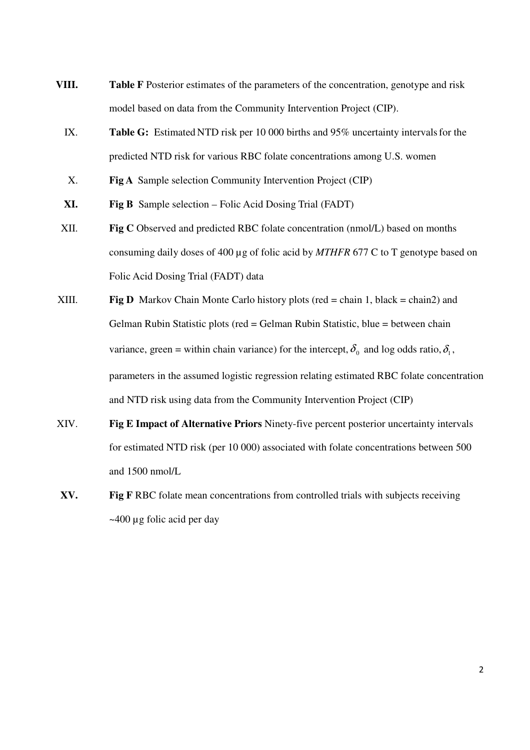- **VIII. Table F** Posterior estimates of the parameters of the concentration, genotype and risk model based on data from the Community Intervention Project (CIP).
	- IX. **Table G:** Estimated NTD risk per 10 000 births and 95% uncertainty intervalsfor the predicted NTD risk for various RBC folate concentrations among U.S. women
	- X. **Fig A** Sample selection Community Intervention Project (CIP)
	- **XI. Fig B** Sample selection Folic Acid Dosing Trial (FADT)
- XII. **Fig C** Observed and predicted RBC folate concentration (nmol/L) based on months consuming daily doses of 400 µg of folic acid by *MTHFR* 677 C to T genotype based on Folic Acid Dosing Trial (FADT) data
- XIII. **Fig D** Markov Chain Monte Carlo history plots (red = chain 1, black = chain2) and Gelman Rubin Statistic plots (red = Gelman Rubin Statistic, blue = between chain variance, green = within chain variance) for the intercept,  $\delta_0$  and log odds ratio,  $\delta_1$ , parameters in the assumed logistic regression relating estimated RBC folate concentration and NTD risk using data from the Community Intervention Project (CIP)
- XIV. **Fig E Impact of Alternative Priors** Ninety-five percent posterior uncertainty intervals for estimated NTD risk (per 10 000) associated with folate concentrations between 500 and 1500 nmol/L
- **XV. Fig F** RBC folate mean concentrations from controlled trials with subjects receiving ~400 µg folic acid per day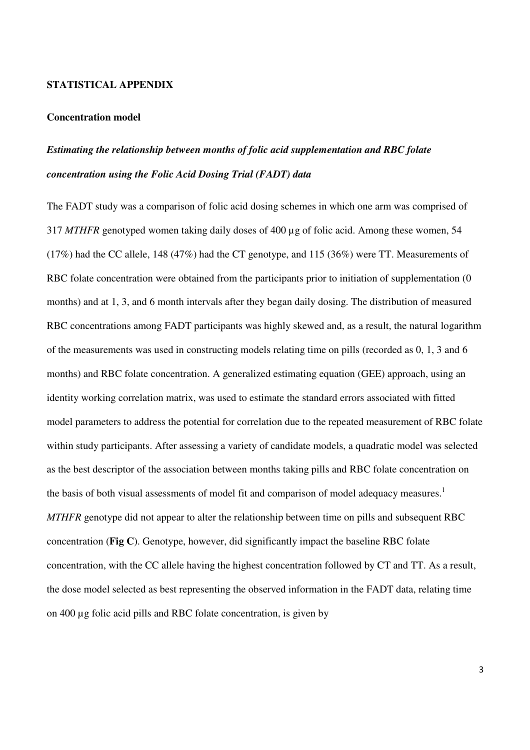#### **STATISTICAL APPENDIX**

#### **Concentration model**

# *Estimating the relationship between months of folic acid supplementation and RBC folate concentration using the Folic Acid Dosing Trial (FADT) data*

The FADT study was a comparison of folic acid dosing schemes in which one arm was comprised of 317 *MTHFR* genotyped women taking daily doses of 400 µg of folic acid. Among these women, 54 (17%) had the CC allele, 148 (47%) had the CT genotype, and 115 (36%) were TT. Measurements of RBC folate concentration were obtained from the participants prior to initiation of supplementation (0) months) and at 1, 3, and 6 month intervals after they began daily dosing. The distribution of measured RBC concentrations among FADT participants was highly skewed and, as a result, the natural logarithm of the measurements was used in constructing models relating time on pills (recorded as 0, 1, 3 and 6 months) and RBC folate concentration. A generalized estimating equation (GEE) approach, using an identity working correlation matrix, was used to estimate the standard errors associated with fitted model parameters to address the potential for correlation due to the repeated measurement of RBC folate within study participants. After assessing a variety of candidate models, a quadratic model was selected as the best descriptor of the association between months taking pills and RBC folate concentration on the basis of both visual assessments of model fit and comparison of model adequacy measures.<sup>1</sup> *MTHFR* genotype did not appear to alter the relationship between time on pills and subsequent RBC concentration (**Fig C**). Genotype, however, did significantly impact the baseline RBC folate concentration, with the CC allele having the highest concentration followed by CT and TT. As a result, the dose model selected as best representing the observed information in the FADT data, relating time on 400 µg folic acid pills and RBC folate concentration, is given by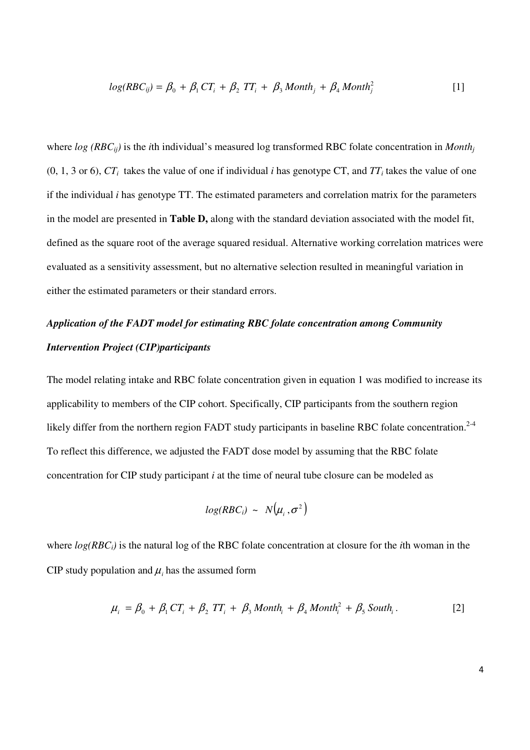$$
log(RBC_{ij}) = \beta_0 + \beta_1 CT_i + \beta_2 TT_i + \beta_3 \text{Month}_j + \beta_4 \text{Month}_j^2
$$
 [1]

where  $log (RBC_{ii})$  is the *i*th individual's measured log transformed RBC folate concentration in *Month*<sub>*i*</sub>  $(0, 1, 3 \text{ or } 6)$ ,  $CT_i$  takes the value of one if individual *i* has genotype CT, and  $TT_i$  takes the value of one if the individual *i* has genotype TT. The estimated parameters and correlation matrix for the parameters in the model are presented in **Table D,** along with the standard deviation associated with the model fit, defined as the square root of the average squared residual. Alternative working correlation matrices were evaluated as a sensitivity assessment, but no alternative selection resulted in meaningful variation in either the estimated parameters or their standard errors.

# *Application of the FADT model for estimating RBC folate concentration among Community Intervention Project (CIP)participants*

The model relating intake and RBC folate concentration given in equation 1 was modified to increase its applicability to members of the CIP cohort. Specifically, CIP participants from the southern region likely differ from the northern region FADT study participants in baseline RBC folate concentration.<sup>2-4</sup> To reflect this difference, we adjusted the FADT dose model by assuming that the RBC folate concentration for CIP study participant *i* at the time of neural tube closure can be modeled as

$$
log(RBC_i) \sim N(\mu_i, \sigma^2)
$$

where *log(RBCi)* is the natural log of the RBC folate concentration at closure for the *i*th woman in the CIP study population and  $\mu$  has the assumed form

$$
\mu_i = \beta_0 + \beta_1 CT_i + \beta_2 TT_i + \beta_3 \text{Month}_i + \beta_4 \text{Month}_i^2 + \beta_5 \text{South}_i. \tag{2}
$$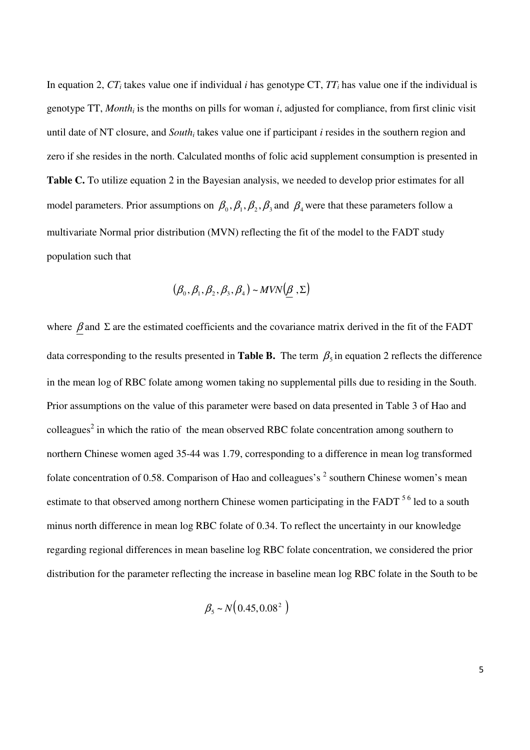In equation 2, *CTi* takes value one if individual *i* has genotype CT, *TTi* has value one if the individual is genotype TT, *Month<sup>i</sup>* is the months on pills for woman *i*, adjusted for compliance, from first clinic visit until date of NT closure, and *South*<sup>*i*</sup> takes value one if participant *i* resides in the southern region and zero if she resides in the north. Calculated months of folic acid supplement consumption is presented in **Table C.** To utilize equation 2 in the Bayesian analysis, we needed to develop prior estimates for all model parameters. Prior assumptions on  $\beta_0$ ,  $\beta_1$ ,  $\beta_2$ ,  $\beta_3$  and  $\beta_4$  were that these parameters follow a multivariate Normal prior distribution (MVN) reflecting the fit of the model to the FADT study population such that

$$
(\beta_0, \beta_1, \beta_2, \beta_3, \beta_4) \sim MVN(\underline{\beta}, \Sigma)
$$

where  $\beta$  and  $\Sigma$  are the estimated coefficients and the covariance matrix derived in the fit of the FADT data corresponding to the results presented in **Table B.** The term  $\beta_5$  in equation 2 reflects the difference in the mean log of RBC folate among women taking no supplemental pills due to residing in the South. Prior assumptions on the value of this parameter were based on data presented in Table 3 of Hao and colleagues<sup>2</sup> in which the ratio of the mean observed RBC folate concentration among southern to northern Chinese women aged 35-44 was 1.79, corresponding to a difference in mean log transformed folate concentration of 0.58. Comparison of Hao and colleagues's  $2$  southern Chinese women's mean estimate to that observed among northern Chinese women participating in the FADT <sup>56</sup> led to a south minus north difference in mean log RBC folate of 0.34. To reflect the uncertainty in our knowledge regarding regional differences in mean baseline log RBC folate concentration, we considered the prior distribution for the parameter reflecting the increase in baseline mean log RBC folate in the South to be

$$
\beta_{5} \sim N(0.45, 0.08^{2})
$$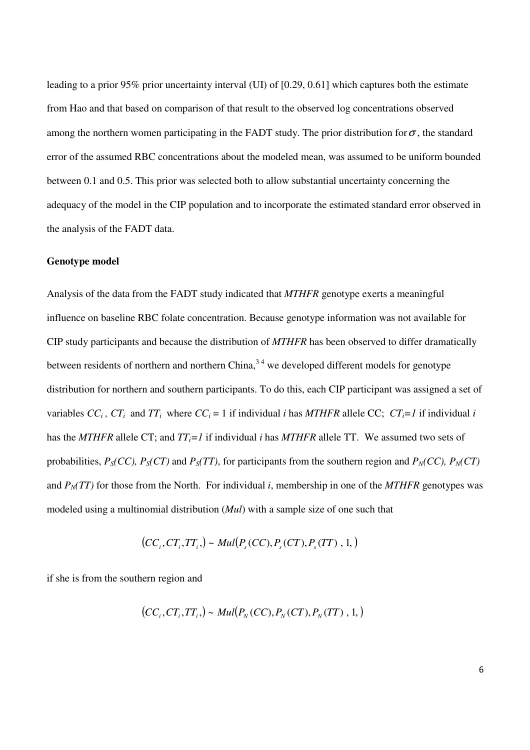leading to a prior 95% prior uncertainty interval (UI) of [0.29, 0.61] which captures both the estimate from Hao and that based on comparison of that result to the observed log concentrations observed among the northern women participating in the FADT study. The prior distribution for  $\sigma$ , the standard error of the assumed RBC concentrations about the modeled mean, was assumed to be uniform bounded between 0.1 and 0.5. This prior was selected both to allow substantial uncertainty concerning the adequacy of the model in the CIP population and to incorporate the estimated standard error observed in the analysis of the FADT data.

#### **Genotype model**

Analysis of the data from the FADT study indicated that *MTHFR* genotype exerts a meaningful influence on baseline RBC folate concentration. Because genotype information was not available for CIP study participants and because the distribution of *MTHFR* has been observed to differ dramatically between residents of northern and northern  $China<sup>34</sup>$ , we developed different models for genotype distribution for northern and southern participants. To do this, each CIP participant was assigned a set of variables  $CC_i$ ,  $CT_i$  and  $TT_i$  where  $CC_i = 1$  if individual *i* has MTHFR allele CC;  $CT_i = 1$  if individual *i* has the *MTHFR* allele CT; and *TTi=1* if individual *i* has *MTHFR* allele TT. We assumed two sets of probabilities,  $P_S(CC)$ ,  $P_S(CT)$  and  $P_S(TT)$ , for participants from the southern region and  $P_N(CC)$ ,  $P_N(CT)$ and  $P<sub>N</sub>(TT)$  for those from the North. For individual *i*, membership in one of the *MTHFR* genotypes was modeled using a multinomial distribution (*Mul*) with a sample size of one such that

$$
(CCi, CTi, TTi) \sim Mul(Ps(CC), Ps(CT), Ps(TT), 1, )
$$

if she is from the southern region and

$$
(CCi, CTi, TTi, ) \sim Mul(PN(CC), PN(CT), PN(TT), 1, )
$$

6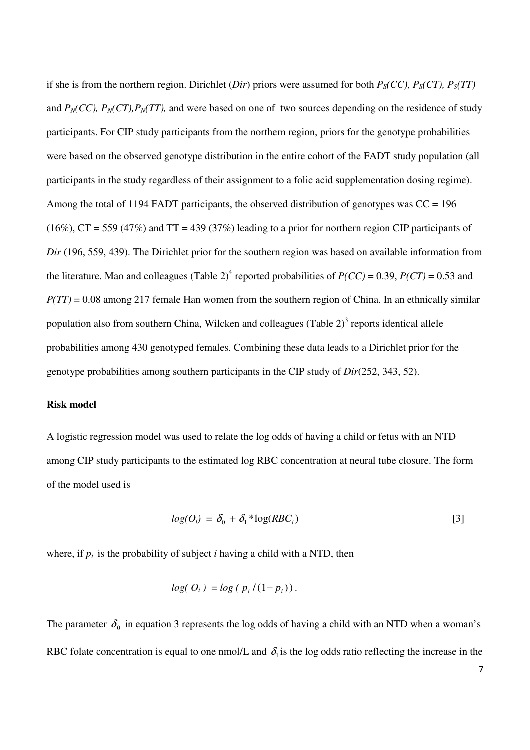if she is from the northern region. Dirichlet (*Dir*) priors were assumed for both  $P_S(CC)$ ,  $P_S(TT)$ ,  $P_S(TT)$ and  $P_N(CC)$ ,  $P_N(T)$ ,  $P_N(T)$ , and were based on one of two sources depending on the residence of study participants. For CIP study participants from the northern region, priors for the genotype probabilities were based on the observed genotype distribution in the entire cohort of the FADT study population (all participants in the study regardless of their assignment to a folic acid supplementation dosing regime). Among the total of 1194 FADT participants, the observed distribution of genotypes was  $CC = 196$  $(16\%)$ , CT = 559 (47%) and TT = 439 (37%) leading to a prior for northern region CIP participants of *Dir* (196, 559, 439). The Dirichlet prior for the southern region was based on available information from the literature. Mao and colleagues (Table 2)<sup>4</sup> reported probabilities of  $P(CC) = 0.39$ ,  $P(CT) = 0.53$  and *P(TT)* = 0.08 among 217 female Han women from the southern region of China. In an ethnically similar population also from southern China, Wilcken and colleagues (Table  $2$ )<sup>3</sup> reports identical allele probabilities among 430 genotyped females. Combining these data leads to a Dirichlet prior for the genotype probabilities among southern participants in the CIP study of *Dir*(252, 343, 52).

#### **Risk model**

A logistic regression model was used to relate the log odds of having a child or fetus with an NTD among CIP study participants to the estimated log RBC concentration at neural tube closure. The form of the model used is

$$
log(O_i) = \delta_0 + \delta_1 * log(RBC_i)
$$
 [3]

where, if  $p_i$  is the probability of subject *i* having a child with a NTD, then

$$
log(O_i) = log(p_i/(1-p_i)).
$$

The parameter  $\delta_0$  in equation 3 represents the log odds of having a child with an NTD when a woman's RBC folate concentration is equal to one nmol/L and  $\delta_i$  is the log odds ratio reflecting the increase in the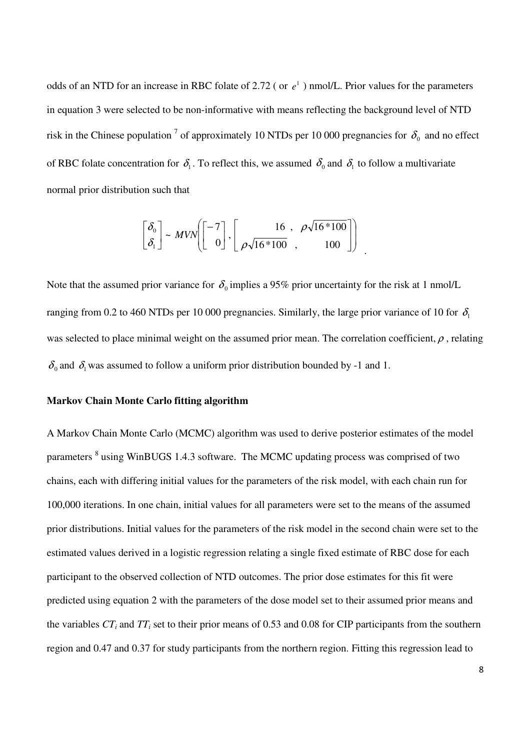odds of an NTD for an increase in RBC folate of 2.72 (or  $e^1$ ) nmol/L. Prior values for the parameters in equation 3 were selected to be non-informative with means reflecting the background level of NTD risk in the Chinese population <sup>7</sup> of approximately 10 NTDs per 10 000 pregnancies for  $\delta_0$  and no effect of RBC folate concentration for  $\delta_1$ . To reflect this, we assumed  $\delta_0$  and  $\delta_1$  to follow a multivariate normal prior distribution such that

$$
\begin{bmatrix} \delta_0 \\ \delta_1 \end{bmatrix} \sim MVN \left[ \begin{bmatrix} -7 \\ 0 \end{bmatrix}, \begin{bmatrix} 16 \\ \rho \sqrt{16*100} \\ 0 \end{bmatrix}, \begin{bmatrix} 16/100 \\ 100 \end{bmatrix} \right]
$$

Note that the assumed prior variance for  $\delta_0$  implies a 95% prior uncertainty for the risk at 1 nmol/L ranging from 0.2 to 460 NTDs per 10 000 pregnancies. Similarly, the large prior variance of 10 for  $\delta$ was selected to place minimal weight on the assumed prior mean. The correlation coefficient,  $\rho$ , relating  $\delta_0$  and  $\delta_1$  was assumed to follow a uniform prior distribution bounded by -1 and 1.

.

#### **Markov Chain Monte Carlo fitting algorithm**

A Markov Chain Monte Carlo (MCMC) algorithm was used to derive posterior estimates of the model parameters <sup>8</sup> using WinBUGS 1.4.3 software. The MCMC updating process was comprised of two chains, each with differing initial values for the parameters of the risk model, with each chain run for 100,000 iterations. In one chain, initial values for all parameters were set to the means of the assumed prior distributions. Initial values for the parameters of the risk model in the second chain were set to the estimated values derived in a logistic regression relating a single fixed estimate of RBC dose for each participant to the observed collection of NTD outcomes. The prior dose estimates for this fit were predicted using equation 2 with the parameters of the dose model set to their assumed prior means and the variables  $CT_i$  and  $TT_i$  set to their prior means of 0.53 and 0.08 for CIP participants from the southern region and 0.47 and 0.37 for study participants from the northern region. Fitting this regression lead to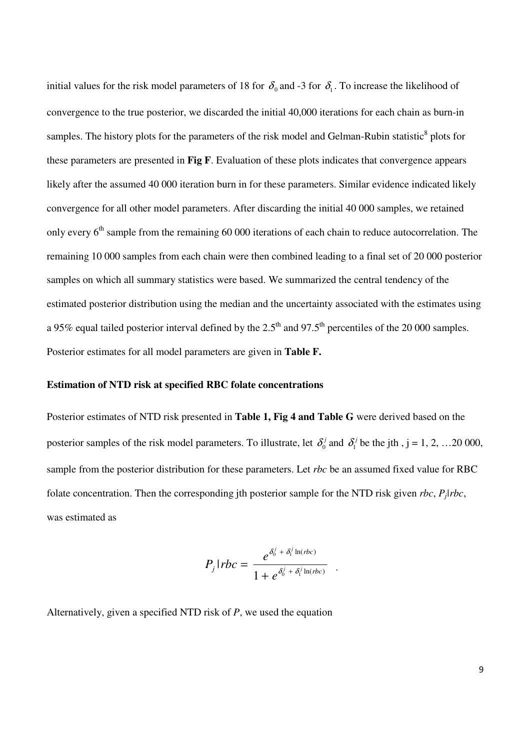initial values for the risk model parameters of 18 for  $\delta_0$  and -3 for  $\delta_1$ . To increase the likelihood of convergence to the true posterior, we discarded the initial 40,000 iterations for each chain as burn-in samples. The history plots for the parameters of the risk model and Gelman-Rubin statistic<sup>8</sup> plots for these parameters are presented in **Fig F**. Evaluation of these plots indicates that convergence appears likely after the assumed 40 000 iteration burn in for these parameters. Similar evidence indicated likely convergence for all other model parameters. After discarding the initial 40 000 samples, we retained only every  $6<sup>th</sup>$  sample from the remaining 60 000 iterations of each chain to reduce autocorrelation. The remaining 10 000 samples from each chain were then combined leading to a final set of 20 000 posterior samples on which all summary statistics were based. We summarized the central tendency of the estimated posterior distribution using the median and the uncertainty associated with the estimates using a 95% equal tailed posterior interval defined by the  $2.5<sup>th</sup>$  and 97.5<sup>th</sup> percentiles of the 20 000 samples. Posterior estimates for all model parameters are given in **Table F.**

#### **Estimation of NTD risk at specified RBC folate concentrations**

Posterior estimates of NTD risk presented in **Table 1, Fig 4 and Table G** were derived based on the posterior samples of the risk model parameters. To illustrate, let  $\delta_0^j$  and  $\delta_1^j$  be the jth, j = 1, 2, ...20 000, sample from the posterior distribution for these parameters. Let *rbc* be an assumed fixed value for RBC folate concentration. Then the corresponding jth posterior sample for the NTD risk given *rbc*, *Pj|rbc*, was estimated as

$$
P_j|rbc = \frac{e^{\delta_0^j + \delta_1^j \ln(rbc)}}{1 + e^{\delta_0^j + \delta_1^j \ln(rbc)}}.
$$

Alternatively, given a specified NTD risk of *P*, we used the equation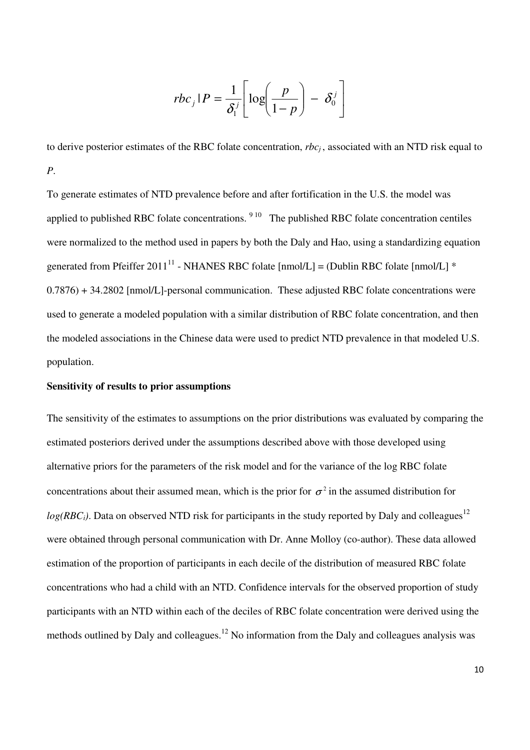$$
rbc_j|P = \frac{1}{\delta_1^j} \left[ \log \left( \frac{P}{1-p} \right) - \delta_0^j \right]
$$

to derive posterior estimates of the RBC folate concentration, *rbc<sup>j</sup>* , associated with an NTD risk equal to *P*.

To generate estimates of NTD prevalence before and after fortification in the U.S. the model was applied to published RBC folate concentrations.  $910$  The published RBC folate concentration centiles were normalized to the method used in papers by both the Daly and Hao, using a standardizing equation generated from Pfeiffer 2011<sup>11</sup> - NHANES RBC folate [nmol/L] = (Dublin RBC folate [nmol/L]  $*$ 0.7876) + 34.2802 [nmol/L]-personal communication. These adjusted RBC folate concentrations were used to generate a modeled population with a similar distribution of RBC folate concentration, and then the modeled associations in the Chinese data were used to predict NTD prevalence in that modeled U.S. population.

#### **Sensitivity of results to prior assumptions**

The sensitivity of the estimates to assumptions on the prior distributions was evaluated by comparing the estimated posteriors derived under the assumptions described above with those developed using alternative priors for the parameters of the risk model and for the variance of the log RBC folate concentrations about their assumed mean, which is the prior for  $\sigma^2$  in the assumed distribution for  $log(RBC_i)$ . Data on observed NTD risk for participants in the study reported by Daly and colleagues<sup>12</sup> were obtained through personal communication with Dr. Anne Molloy (co-author). These data allowed estimation of the proportion of participants in each decile of the distribution of measured RBC folate concentrations who had a child with an NTD. Confidence intervals for the observed proportion of study participants with an NTD within each of the deciles of RBC folate concentration were derived using the methods outlined by Daly and colleagues.<sup>12</sup> No information from the Daly and colleagues analysis was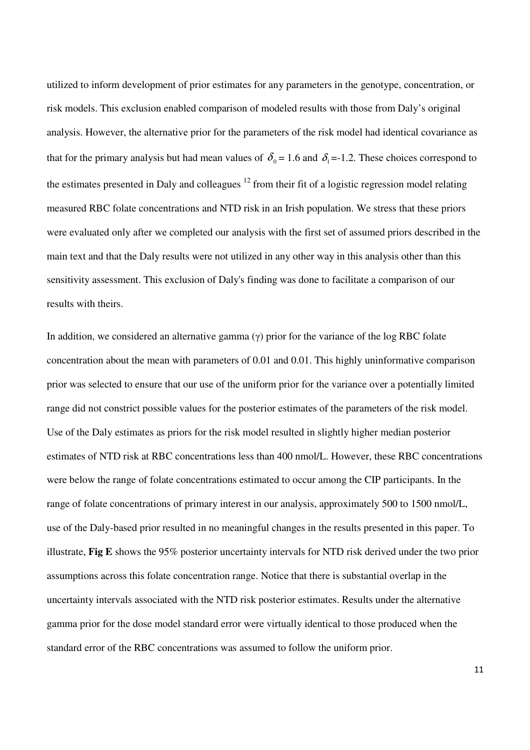utilized to inform development of prior estimates for any parameters in the genotype, concentration, or risk models. This exclusion enabled comparison of modeled results with those from Daly's original analysis. However, the alternative prior for the parameters of the risk model had identical covariance as that for the primary analysis but had mean values of  $\delta_0 = 1.6$  and  $\delta_1 = -1.2$ . These choices correspond to the estimates presented in Daly and colleagues  $12$  from their fit of a logistic regression model relating measured RBC folate concentrations and NTD risk in an Irish population. We stress that these priors were evaluated only after we completed our analysis with the first set of assumed priors described in the main text and that the Daly results were not utilized in any other way in this analysis other than this sensitivity assessment. This exclusion of Daly's finding was done to facilitate a comparison of our results with theirs.

In addition, we considered an alternative gamma (γ) prior for the variance of the log RBC folate concentration about the mean with parameters of 0.01 and 0.01. This highly uninformative comparison prior was selected to ensure that our use of the uniform prior for the variance over a potentially limited range did not constrict possible values for the posterior estimates of the parameters of the risk model. Use of the Daly estimates as priors for the risk model resulted in slightly higher median posterior estimates of NTD risk at RBC concentrations less than 400 nmol/L. However, these RBC concentrations were below the range of folate concentrations estimated to occur among the CIP participants. In the range of folate concentrations of primary interest in our analysis, approximately 500 to 1500 nmol/L, use of the Daly-based prior resulted in no meaningful changes in the results presented in this paper. To illustrate, **Fig E** shows the 95% posterior uncertainty intervals for NTD risk derived under the two prior assumptions across this folate concentration range. Notice that there is substantial overlap in the uncertainty intervals associated with the NTD risk posterior estimates. Results under the alternative gamma prior for the dose model standard error were virtually identical to those produced when the standard error of the RBC concentrations was assumed to follow the uniform prior.

11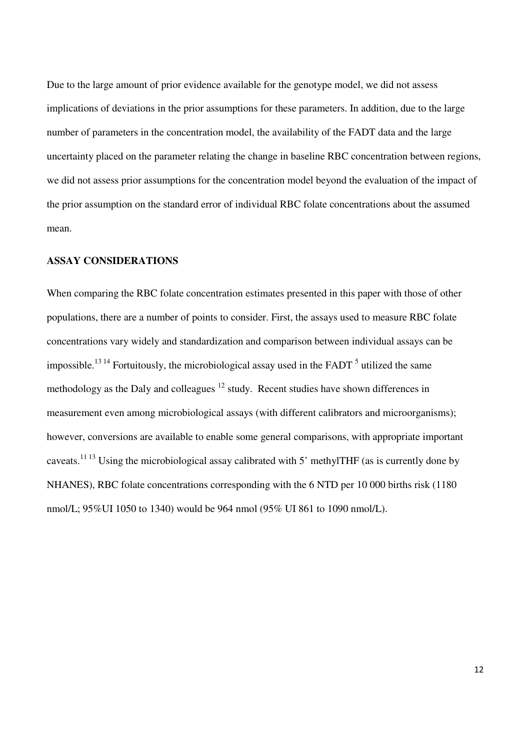Due to the large amount of prior evidence available for the genotype model, we did not assess implications of deviations in the prior assumptions for these parameters. In addition, due to the large number of parameters in the concentration model, the availability of the FADT data and the large uncertainty placed on the parameter relating the change in baseline RBC concentration between regions, we did not assess prior assumptions for the concentration model beyond the evaluation of the impact of the prior assumption on the standard error of individual RBC folate concentrations about the assumed mean.

#### **ASSAY CONSIDERATIONS**

When comparing the RBC folate concentration estimates presented in this paper with those of other populations, there are a number of points to consider. First, the assays used to measure RBC folate concentrations vary widely and standardization and comparison between individual assays can be impossible.<sup>13 14</sup> Fortuitously, the microbiological assay used in the FADT  $<sup>5</sup>$  utilized the same</sup> methodology as the Daly and colleagues  $12$  study. Recent studies have shown differences in measurement even among microbiological assays (with different calibrators and microorganisms); however, conversions are available to enable some general comparisons, with appropriate important caveats.11 13 Using the microbiological assay calibrated with 5' methylTHF (as is currently done by NHANES), RBC folate concentrations corresponding with the 6 NTD per 10 000 births risk (1180 nmol/L; 95%UI 1050 to 1340) would be 964 nmol (95% UI 861 to 1090 nmol/L).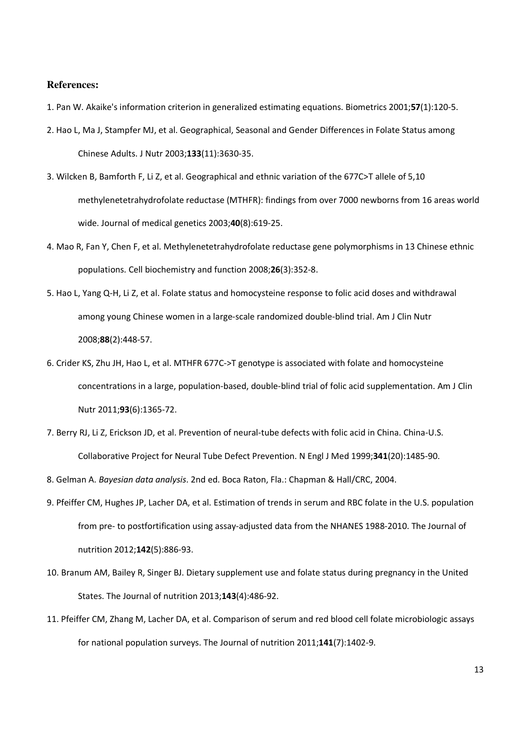#### **References:**

- 1. Pan W. Akaike's information criterion in generalized estimating equations. Biometrics 2001;57(1):120-5.
- 2. Hao L, Ma J, Stampfer MJ, et al. Geographical, Seasonal and Gender Differences in Folate Status among Chinese Adults. J Nutr 2003;133(11):3630-35.
- 3. Wilcken B, Bamforth F, Li Z, et al. Geographical and ethnic variation of the 677C>T allele of 5,10 methylenetetrahydrofolate reductase (MTHFR): findings from over 7000 newborns from 16 areas world wide. Journal of medical genetics 2003;40(8):619-25.
- 4. Mao R, Fan Y, Chen F, et al. Methylenetetrahydrofolate reductase gene polymorphisms in 13 Chinese ethnic populations. Cell biochemistry and function 2008;26(3):352-8.
- 5. Hao L, Yang Q-H, Li Z, et al. Folate status and homocysteine response to folic acid doses and withdrawal among young Chinese women in a large-scale randomized double-blind trial. Am J Clin Nutr 2008;88(2):448-57.
- 6. Crider KS, Zhu JH, Hao L, et al. MTHFR 677C->T genotype is associated with folate and homocysteine concentrations in a large, population-based, double-blind trial of folic acid supplementation. Am J Clin Nutr 2011;93(6):1365-72.
- 7. Berry RJ, Li Z, Erickson JD, et al. Prevention of neural-tube defects with folic acid in China. China-U.S. Collaborative Project for Neural Tube Defect Prevention. N Engl J Med 1999;341(20):1485-90.
- 8. Gelman A. Bayesian data analysis. 2nd ed. Boca Raton, Fla.: Chapman & Hall/CRC, 2004.
- 9. Pfeiffer CM, Hughes JP, Lacher DA, et al. Estimation of trends in serum and RBC folate in the U.S. population from pre- to postfortification using assay-adjusted data from the NHANES 1988-2010. The Journal of nutrition 2012;142(5):886-93.
- 10. Branum AM, Bailey R, Singer BJ. Dietary supplement use and folate status during pregnancy in the United States. The Journal of nutrition 2013;143(4):486-92.
- 11. Pfeiffer CM, Zhang M, Lacher DA, et al. Comparison of serum and red blood cell folate microbiologic assays for national population surveys. The Journal of nutrition 2011;141(7):1402-9.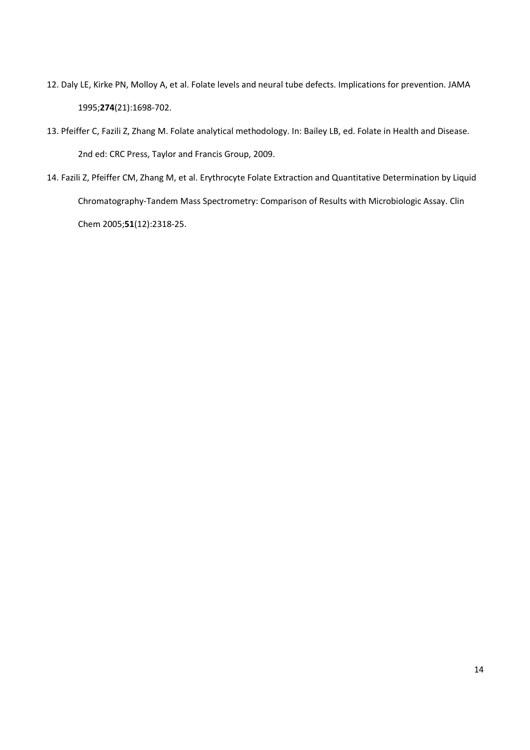- 12. Daly LE, Kirke PN, Molloy A, et al. Folate levels and neural tube defects. Implications for prevention. JAMA 1995;274(21):1698-702.
- 13. Pfeiffer C, Fazili Z, Zhang M. Folate analytical methodology. In: Bailey LB, ed. Folate in Health and Disease. 2nd ed: CRC Press, Taylor and Francis Group, 2009.
- 14. Fazili Z, Pfeiffer CM, Zhang M, et al. Erythrocyte Folate Extraction and Quantitative Determination by Liquid Chromatography-Tandem Mass Spectrometry: Comparison of Results with Microbiologic Assay. Clin Chem 2005;51(12):2318-25.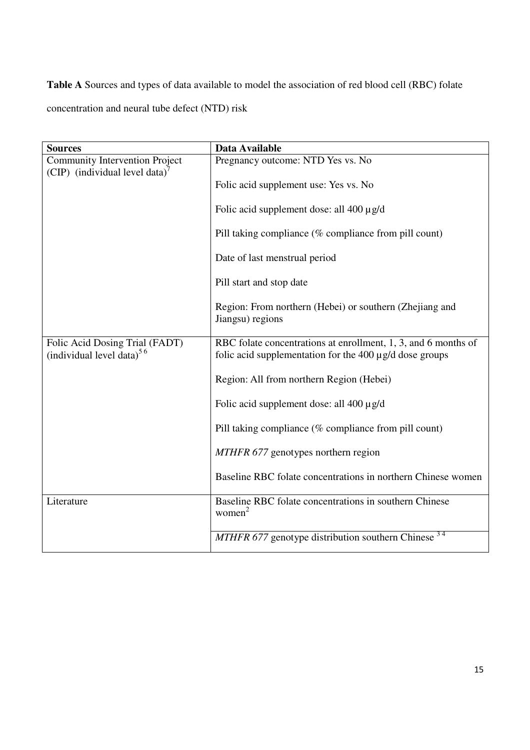**Table A** Sources and types of data available to model the association of red blood cell (RBC) folate concentration and neural tube defect (NTD) risk

| <b>Sources</b>                                                          | Data Available                                                                                                                 |  |  |  |  |
|-------------------------------------------------------------------------|--------------------------------------------------------------------------------------------------------------------------------|--|--|--|--|
| Community Intervention Project<br>(CIP) (individual level data)'        | Pregnancy outcome: NTD Yes vs. No                                                                                              |  |  |  |  |
|                                                                         | Folic acid supplement use: Yes vs. No                                                                                          |  |  |  |  |
|                                                                         | Folic acid supplement dose: all $400 \mu g/d$                                                                                  |  |  |  |  |
|                                                                         | Pill taking compliance (% compliance from pill count)                                                                          |  |  |  |  |
|                                                                         | Date of last menstrual period                                                                                                  |  |  |  |  |
|                                                                         | Pill start and stop date                                                                                                       |  |  |  |  |
|                                                                         | Region: From northern (Hebei) or southern (Zhejiang and<br>Jiangsu) regions                                                    |  |  |  |  |
| Folic Acid Dosing Trial (FADT)<br>(individual level data) <sup>56</sup> | RBC folate concentrations at enrollment, 1, 3, and 6 months of<br>folic acid supplementation for the $400 \mu g/d$ dose groups |  |  |  |  |
|                                                                         | Region: All from northern Region (Hebei)                                                                                       |  |  |  |  |
|                                                                         | Folic acid supplement dose: all $400 \mu g/d$                                                                                  |  |  |  |  |
|                                                                         | Pill taking compliance (% compliance from pill count)                                                                          |  |  |  |  |
|                                                                         | MTHFR 677 genotypes northern region                                                                                            |  |  |  |  |
|                                                                         | Baseline RBC folate concentrations in northern Chinese women                                                                   |  |  |  |  |
| Literature                                                              | Baseline RBC folate concentrations in southern Chinese<br>women <sup>2</sup>                                                   |  |  |  |  |
|                                                                         | $MTHFR 677$ genotype distribution southern Chinese $34$                                                                        |  |  |  |  |
|                                                                         |                                                                                                                                |  |  |  |  |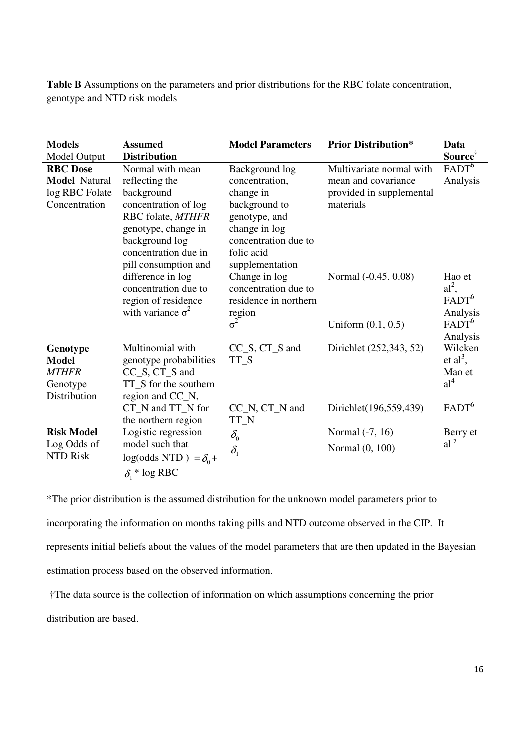**Table B** Assumptions on the parameters and prior distributions for the RBC folate concentration, genotype and NTD risk models

| <b>Models</b><br><b>Model Output</b>                                       | <b>Assumed</b><br><b>Distribution</b>                                                                                                                                                  | <b>Model Parameters</b>                                                                                                                                   | <b>Prior Distribution*</b>                                                               | Data<br>Source <sup>†</sup>                                                 |
|----------------------------------------------------------------------------|----------------------------------------------------------------------------------------------------------------------------------------------------------------------------------------|-----------------------------------------------------------------------------------------------------------------------------------------------------------|------------------------------------------------------------------------------------------|-----------------------------------------------------------------------------|
| <b>RBC</b> Dose<br><b>Model Natural</b><br>log RBC Folate<br>Concentration | Normal with mean<br>reflecting the<br>background<br>concentration of log<br>RBC folate, MTHFR<br>genotype, change in<br>background log<br>concentration due in<br>pill consumption and | Background log<br>concentration,<br>change in<br>background to<br>genotype, and<br>change in log<br>concentration due to<br>folic acid<br>supplementation | Multivariate normal with<br>mean and covariance<br>provided in supplemental<br>materials | $FADT^6$<br>Analysis                                                        |
|                                                                            | difference in log<br>concentration due to<br>region of residence<br>with variance $\sigma^2$                                                                                           | Change in log<br>concentration due to<br>residence in northern<br>region<br>$\sigma^2$                                                                    | Normal (-0.45, 0.08)<br>Uniform $(0.1, 0.5)$                                             | Hao et<br>$al^2$ ,<br>$FADT^6$<br>Analysis<br>FADT <sup>6</sup><br>Analysis |
| Genotype<br><b>Model</b><br><b>MTHFR</b><br>Genotype<br>Distribution       | Multinomial with<br>genotype probabilities<br>CC_S, CT_S and<br>TT_S for the southern<br>region and CC_N,                                                                              | $CC_S, CT_S$ and<br>TT S                                                                                                                                  | Dirichlet (252,343, 52)                                                                  | Wilcken<br>et $al^3$ ,<br>Mao et<br>$al^4$                                  |
|                                                                            | CT_N and TT_N for<br>the northern region                                                                                                                                               | $CC_N$ , $CT_N$ and<br>TT_N                                                                                                                               | Dirichlet(196,559,439)                                                                   | FADT <sup>6</sup>                                                           |
| <b>Risk Model</b><br>Log Odds of<br><b>NTD Risk</b>                        | Logistic regression<br>model such that<br>$log(odds NTD) = \delta_0 +$<br>$\delta$ <sup>*</sup> log RBC                                                                                | $\delta_{\scriptscriptstyle 0}$<br>$\delta_{1}$                                                                                                           | Normal (-7, 16)<br>Normal (0, 100)                                                       | Berry et<br>$al^7$                                                          |

\*The prior distribution is the assumed distribution for the unknown model parameters prior to

incorporating the information on months taking pills and NTD outcome observed in the CIP. It represents initial beliefs about the values of the model parameters that are then updated in the Bayesian estimation process based on the observed information.

†The data source is the collection of information on which assumptions concerning the prior

distribution are based.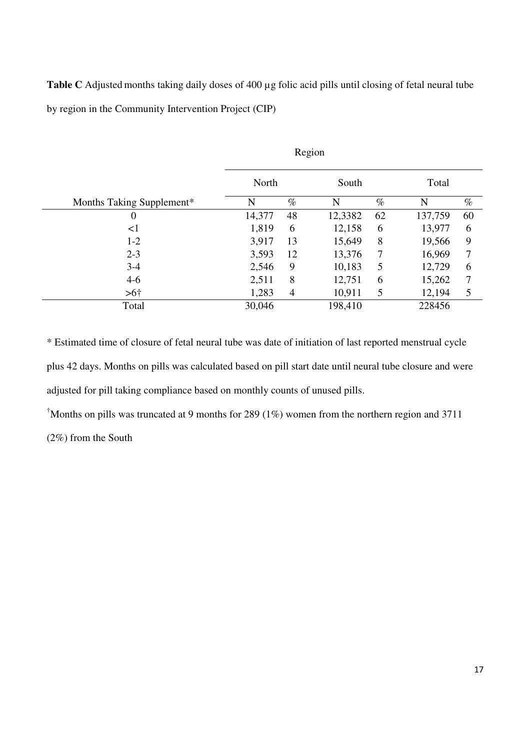**Table C** Adjusted months taking daily doses of 400 µg folic acid pills until closing of fetal neural tube by region in the Community Intervention Project (CIP)

|                           | Region |                |         |      |         |      |
|---------------------------|--------|----------------|---------|------|---------|------|
|                           | North  |                | South   |      | Total   |      |
| Months Taking Supplement* | N      | $\%$           | N       | $\%$ | N       | $\%$ |
| 0                         | 14,377 | 48             | 12,3382 | 62   | 137,759 | 60   |
| $\leq$ 1                  | 1,819  | 6              | 12,158  | 6    | 13,977  | 6    |
| $1-2$                     | 3,917  | 13             | 15,649  | 8    | 19,566  | 9    |
| $2 - 3$                   | 3,593  | 12             | 13,376  | 7    | 16,969  | 7    |
| $3 - 4$                   | 2,546  | 9              | 10,183  | 5    | 12,729  | 6    |
| $4-6$                     | 2,511  | 8              | 12,751  | 6    | 15,262  | 7    |
| > 6 <sup>†</sup>          | 1,283  | $\overline{4}$ | 10,911  | 5    | 12,194  | 5    |
| Total                     | 30,046 |                | 198,410 |      | 228456  |      |

\* Estimated time of closure of fetal neural tube was date of initiation of last reported menstrual cycle plus 42 days. Months on pills was calculated based on pill start date until neural tube closure and were adjusted for pill taking compliance based on monthly counts of unused pills.

<sup>†</sup>Months on pills was truncated at 9 months for 289 (1%) women from the northern region and 3711

(2%) from the South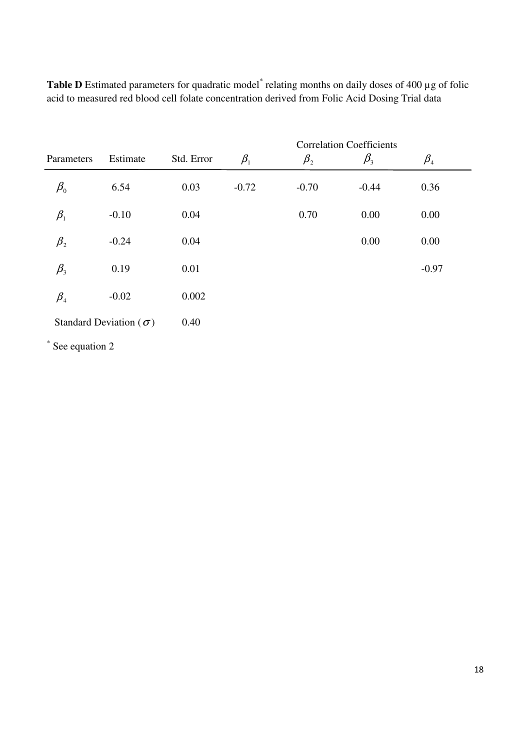|                                |                                 |            | <b>Correlation Coefficients</b> |             |             |                                |  |  |
|--------------------------------|---------------------------------|------------|---------------------------------|-------------|-------------|--------------------------------|--|--|
| Parameters                     | Estimate                        | Std. Error | $\beta_{1}$                     | $\beta_{2}$ | $\beta_{3}$ | $\beta_{\scriptscriptstyle 4}$ |  |  |
| $\beta_{\scriptscriptstyle 0}$ | 6.54                            | 0.03       | $-0.72$                         | $-0.70$     | $-0.44$     | 0.36                           |  |  |
| $\beta_{1}$                    | $-0.10$                         | 0.04       |                                 | 0.70        | 0.00        | 0.00                           |  |  |
| $\beta_{2}$                    | $-0.24$                         | 0.04       |                                 |             | 0.00        | 0.00                           |  |  |
| $\beta_{3}$                    | 0.19                            | 0.01       |                                 |             |             | $-0.97$                        |  |  |
| $\beta_{\scriptscriptstyle 4}$ | $-0.02$                         | 0.002      |                                 |             |             |                                |  |  |
|                                | Standard Deviation ( $\sigma$ ) | 0.40       |                                 |             |             |                                |  |  |
| $\ast$ See equation 2          |                                 |            |                                 |             |             |                                |  |  |

Table D Estimated parameters for quadratic model<sup>\*</sup> relating months on daily doses of 400 µg of folic acid to measured red blood cell folate concentration derived from Folic Acid Dosing Trial data

See equation 2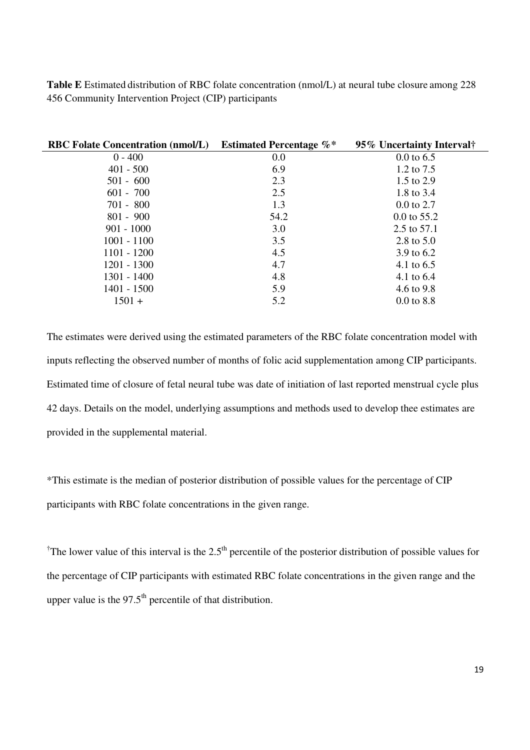**Table E** Estimated distribution of RBC folate concentration (nmol/L) at neural tube closure among 228 456 Community Intervention Project (CIP) participants

| <b>RBC Folate Concentration (nmol/L)</b> | <b>Estimated Percentage %*</b> | 95% Uncertainty Interval |
|------------------------------------------|--------------------------------|--------------------------|
| $0 - 400$                                | 0.0                            | $0.0 \text{ to } 6.5$    |
| $401 - 500$                              | 6.9                            | 1.2 to 7.5               |
| $501 - 600$                              | 2.3                            | 1.5 to 2.9               |
| $601 - 700$                              | 2.5                            | 1.8 to 3.4               |
| $701 - 800$                              | 1.3                            | $0.0 \text{ to } 2.7$    |
| $801 - 900$                              | 54.2                           | $0.0$ to 55.2            |
| $901 - 1000$                             | 3.0                            | 2.5 to 57.1              |
| $1001 - 1100$                            | 3.5                            | 2.8 to 5.0               |
| $1101 - 1200$                            | 4.5                            | 3.9 to 6.2               |
| $1201 - 1300$                            | 4.7                            | 4.1 to 6.5               |
| $1301 - 1400$                            | 4.8                            | 4.1 to 6.4               |
| $1401 - 1500$                            | 5.9                            | 4.6 to 9.8               |
| $1501 +$                                 | 5.2                            | $0.0 \text{ to } 8.8$    |

The estimates were derived using the estimated parameters of the RBC folate concentration model with inputs reflecting the observed number of months of folic acid supplementation among CIP participants. Estimated time of closure of fetal neural tube was date of initiation of last reported menstrual cycle plus 42 days. Details on the model, underlying assumptions and methods used to develop thee estimates are provided in the supplemental material.

\*This estimate is the median of posterior distribution of possible values for the percentage of CIP participants with RBC folate concentrations in the given range.

<sup>†</sup>The lower value of this interval is the 2.5<sup>th</sup> percentile of the posterior distribution of possible values for the percentage of CIP participants with estimated RBC folate concentrations in the given range and the upper value is the  $97.5<sup>th</sup>$  percentile of that distribution.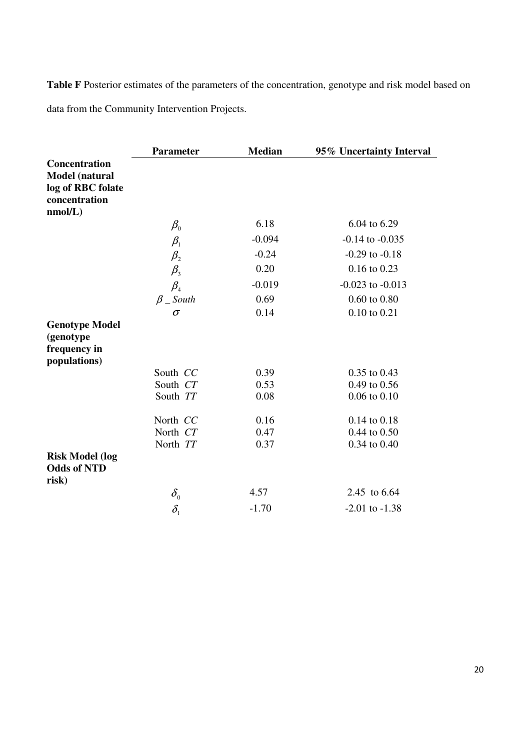Table F Posterior estimates of the parameters of the concentration, genotype and risk model based on data from the Community Intervention Projects.

|                        | <b>Parameter</b>                | <b>Median</b> | 95% Uncertainty Interval |
|------------------------|---------------------------------|---------------|--------------------------|
| <b>Concentration</b>   |                                 |               |                          |
| Model (natural         |                                 |               |                          |
| log of RBC folate      |                                 |               |                          |
| concentration          |                                 |               |                          |
| nmol/L)                |                                 |               |                          |
|                        | $\beta_{\scriptscriptstyle 0}$  | 6.18          | 6.04 to 6.29             |
|                        | $\beta_{\scriptscriptstyle 1}$  | $-0.094$      | $-0.14$ to $-0.035$      |
|                        | $\beta_{2}$                     | $-0.24$       | $-0.29$ to $-0.18$       |
|                        | $\beta_{3}$                     | 0.20          | $0.16$ to $0.23$         |
|                        | $\beta_{\scriptscriptstyle 4}$  | $-0.019$      | $-0.023$ to $-0.013$     |
|                        | $\beta$ _ South                 | 0.69          | $0.60$ to $0.80$         |
|                        | $\sigma$                        | 0.14          | 0.10 to 0.21             |
| <b>Genotype Model</b>  |                                 |               |                          |
| (genotype              |                                 |               |                          |
| frequency in           |                                 |               |                          |
| populations)           |                                 |               |                          |
|                        | South CC                        | 0.39          | 0.35 to 0.43             |
|                        | South CT                        | 0.53          | 0.49 to 0.56             |
|                        | South TT                        | 0.08          | $0.06$ to $0.10$         |
|                        | North CC                        | 0.16          | 0.14 to 0.18             |
|                        | North CT                        | 0.47          | 0.44 to 0.50             |
|                        | North TT                        | 0.37          | 0.34 to 0.40             |
| <b>Risk Model (log</b> |                                 |               |                          |
| <b>Odds of NTD</b>     |                                 |               |                          |
| risk)                  |                                 |               |                          |
|                        | $\delta_{\scriptscriptstyle 0}$ | 4.57          | 2.45 to 6.64             |
|                        | $\delta_{1}$                    | $-1.70$       | $-2.01$ to $-1.38$       |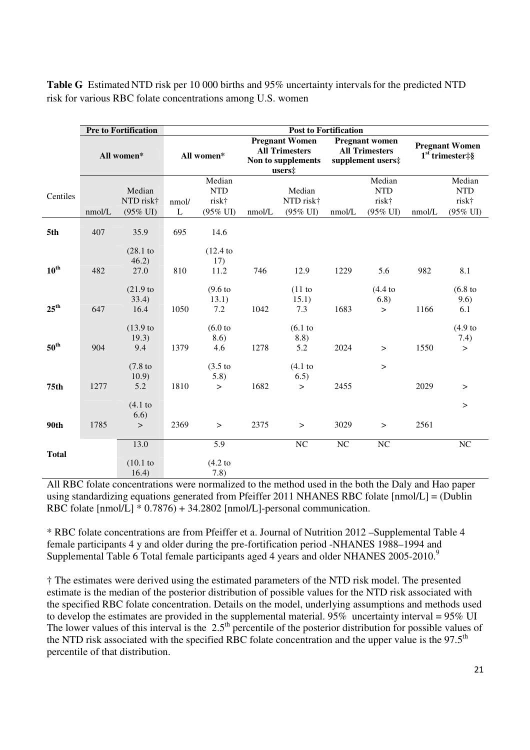|                  | <b>Pre to Fortification</b> |                                            |            |                                                      | <b>Post to Fortification</b>                                                   |                                            |                                                                     |                                                      |                                            |                                                      |
|------------------|-----------------------------|--------------------------------------------|------------|------------------------------------------------------|--------------------------------------------------------------------------------|--------------------------------------------|---------------------------------------------------------------------|------------------------------------------------------|--------------------------------------------|------------------------------------------------------|
|                  | All women*                  |                                            | All women* |                                                      | <b>Pregnant Women</b><br><b>All Trimesters</b><br>Non to supplements<br>users‡ |                                            | <b>Pregnant women</b><br><b>All Trimesters</b><br>supplement users# |                                                      | <b>Pregnant Women</b><br>$1st$ trimester‡§ |                                                      |
| Centiles         | nmol/L                      | Median<br>NTD risk†<br>$(95\% \text{ UI})$ | nmol/<br>L | Median<br><b>NTD</b><br>risk†<br>$(95\% \text{ UI})$ | nmol/L                                                                         | Median<br>NTD risk†<br>$(95\% \text{ UI})$ | nmol/L                                                              | Median<br><b>NTD</b><br>risk†<br>$(95\% \text{ UI})$ | nmol/L                                     | Median<br><b>NTD</b><br>risk†<br>$(95\% \text{ UI})$ |
| 5th              | 407                         | 35.9                                       | 695        | 14.6                                                 |                                                                                |                                            |                                                                     |                                                      |                                            |                                                      |
| $10^{\text{th}}$ | 482                         | (28.1)<br>46.2)<br>27.0                    | 810        | (12.4)<br>17)<br>11.2                                | 746                                                                            | 12.9                                       | 1229                                                                | 5.6                                                  | 982                                        | 8.1                                                  |
| $25^{\text{th}}$ | 647                         | (21.9)<br>33.4)<br>16.4                    | 1050       | $(9.6)$ to<br>13.1)<br>7.2                           | 1042                                                                           | $(11$ to<br>15.1)<br>7.3                   | 1683                                                                | (4.4 t <sub>0</sub> )<br>6.8)<br>$\geq$              | 1166                                       | (6.8)<br>9.6)<br>6.1                                 |
| $50^{\text{th}}$ | 904                         | $(13.9)$ to<br>19.3)<br>9.4                | 1379       | (6.0 <sub>to</sub> )<br>8.6)<br>4.6                  | 1278                                                                           | (6.1)<br>8.8)<br>5.2                       | 2024                                                                | $\,>$                                                | 1550                                       | $(4.9)$ to<br>7.4)<br>$\geq$                         |
| 75 <sub>th</sub> | 1277                        | $(7.8)$ to<br>10.9)<br>5.2                 | 1810       | $(3.5)$ to<br>5.8)<br>$\geq$                         | 1682                                                                           | (4.1)<br>6.5)<br>$\geq$                    | 2455                                                                | $\geq$                                               | 2029                                       | >                                                    |
|                  |                             | (4.1)<br>6.6)                              |            |                                                      |                                                                                |                                            |                                                                     |                                                      |                                            | $\geq$                                               |
| 90th             | 1785                        | $\, >$                                     | 2369       | $\,>$                                                | 2375                                                                           | $\,>$                                      | 3029                                                                | $\,>$                                                | 2561                                       |                                                      |
| <b>Total</b>     |                             | 13.0<br>(10.1)<br>16.4)                    |            | 5.9<br>(4.2)<br>7.8)                                 |                                                                                | $\rm NC$                                   | $\rm NC$                                                            | NC                                                   |                                            | $\rm NC$                                             |

Table G Estimated NTD risk per 10 000 births and 95% uncertainty intervals for the predicted NTD risk for various RBC folate concentrations among U.S. women

All RBC folate concentrations were normalized to the method used in the both the Daly and Hao paper using standardizing equations generated from Pfeiffer 2011 NHANES RBC folate [nmol/L] = (Dublin RBC folate [nmol/L] \* 0.7876) + 34.2802 [nmol/L]-personal communication.

\* RBC folate concentrations are from Pfeiffer et a. Journal of Nutrition 2012 –Supplemental Table 4 female participants 4 y and older during the pre-fortification period -NHANES 1988–1994 and Supplemental Table 6 Total female participants aged 4 years and older NHANES 2005-2010.<sup>9</sup>

† The estimates were derived using the estimated parameters of the NTD risk model. The presented estimate is the median of the posterior distribution of possible values for the NTD risk associated with the specified RBC folate concentration. Details on the model, underlying assumptions and methods used to develop the estimates are provided in the supplemental material. 95% uncertainty interval = 95% UI The lower values of this interval is the  $2.5<sup>th</sup>$  percentile of the posterior distribution for possible values of the NTD risk associated with the specified RBC folate concentration and the upper value is the  $97.5<sup>th</sup>$ percentile of that distribution.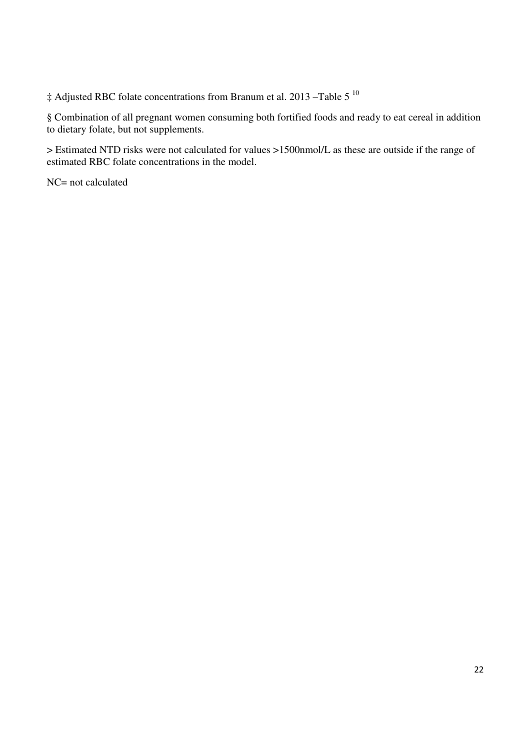‡ Adjusted RBC folate concentrations from Branum et al. 2013 –Table 5 <sup>10</sup>

§ Combination of all pregnant women consuming both fortified foods and ready to eat cereal in addition to dietary folate, but not supplements.

> Estimated NTD risks were not calculated for values >1500nmol/L as these are outside if the range of estimated RBC folate concentrations in the model.

NC= not calculated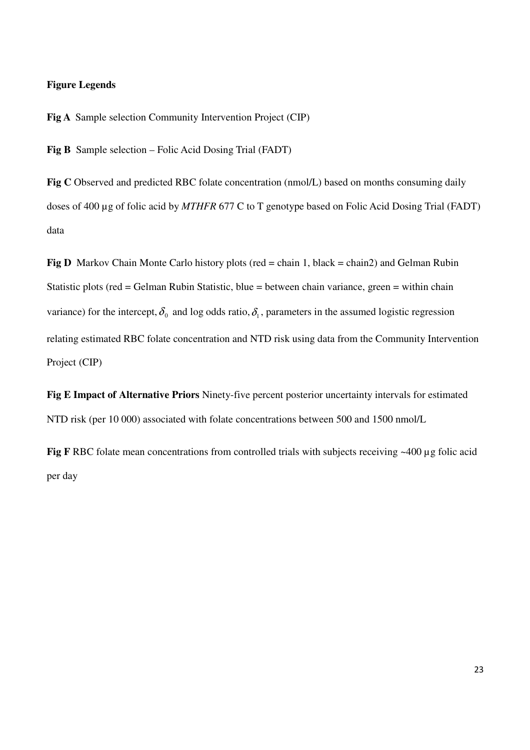## **Figure Legends**

**Fig A** Sample selection Community Intervention Project (CIP)

**Fig B** Sample selection – Folic Acid Dosing Trial (FADT)

Fig C Observed and predicted RBC folate concentration (nmol/L) based on months consuming daily doses of 400 µg of folic acid by *MTHFR* 677 C to T genotype based on Folic Acid Dosing Trial (FADT) data

**Fig D** Markov Chain Monte Carlo history plots (red = chain 1, black = chain2) and Gelman Rubin Statistic plots (red = Gelman Rubin Statistic, blue = between chain variance, green = within chain variance) for the intercept,  $\delta_0$  and log odds ratio,  $\delta_1$ , parameters in the assumed logistic regression relating estimated RBC folate concentration and NTD risk using data from the Community Intervention Project (CIP)

**Fig E Impact of Alternative Priors** Ninety-five percent posterior uncertainty intervals for estimated NTD risk (per 10 000) associated with folate concentrations between 500 and 1500 nmol/L

**Fig F** RBC folate mean concentrations from controlled trials with subjects receiving ~400 µg folic acid per day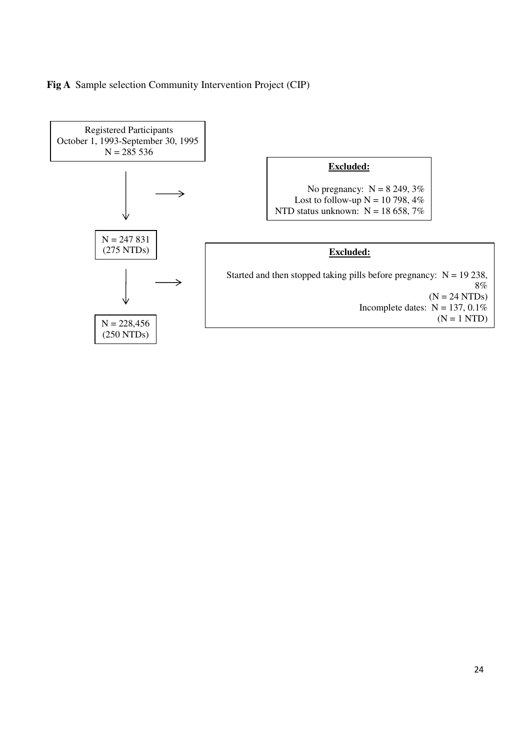# **Fig A** Sample selection Community Intervention Project (CIP)

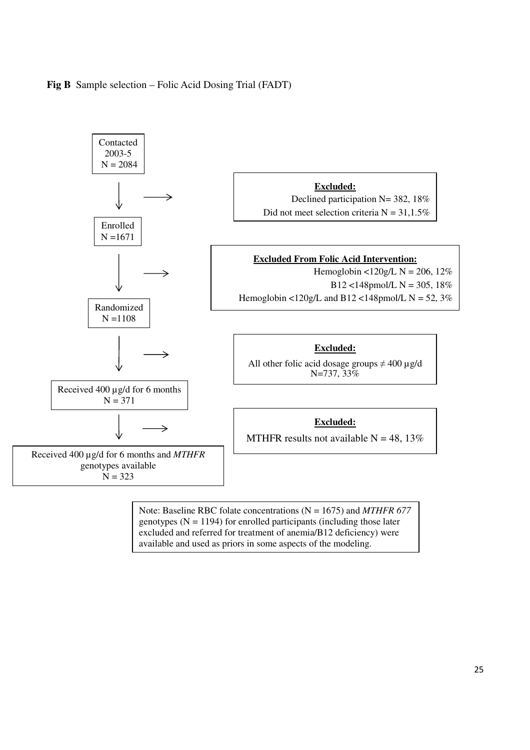## **Fig B** Sample selection – Folic Acid Dosing Trial (FADT)



Note: Baseline RBC folate concentrations (N = 1675) and *MTHFR 677*  genotypes  $(N = 1194)$  for enrolled participants (including those later excluded and referred for treatment of anemia/B12 deficiency) were available and used as priors in some aspects of the modeling.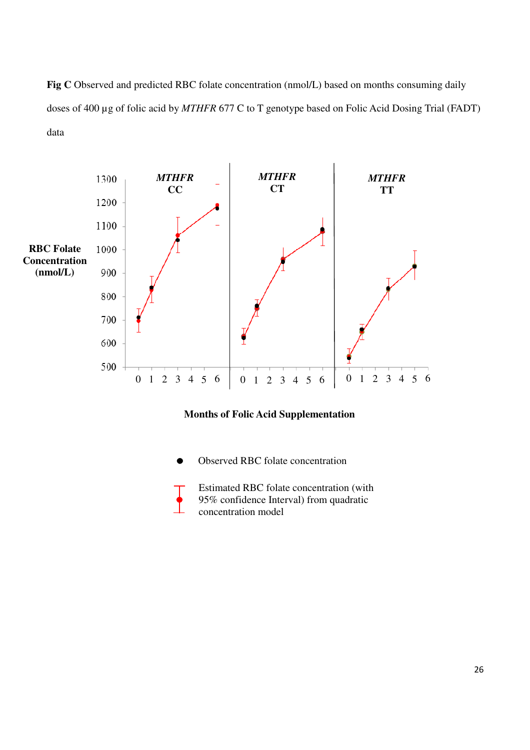Fig C Observed and predicted RBC folate concentration (nmol/L) based on months consuming daily doses of 400 µg of folic acid by *MTHFR* 677 C to T genotype based on Folic Acid Dosing Trial (FADT) data



# **Months of Folic Acid Supplementation**

- Observed RBC folate concentration
- Estimated RBC folate concentration (with 95% confidence Interval) from quadratic concentration model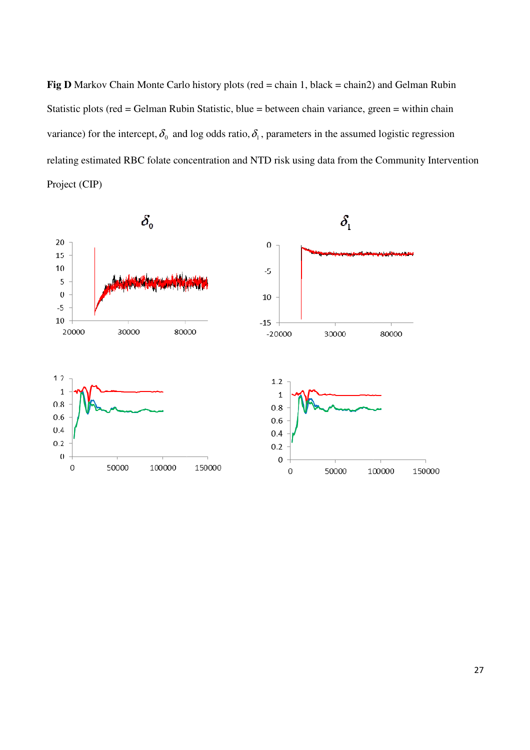**Fig D** Markov Chain Monte Carlo history plots (red  $=$  chain 1, black  $=$  chain2) and Gelman Rubin Statistic plots (red = Gelman Rubin Statistic, blue = between chain variance, green = within chain variance) for the intercept,  $\delta_0$  and log odds ratio,  $\delta_1$ , parameters in the assumed logistic regression relating estimated RBC folate concentration and NTD risk using data from the Community Intervention Project (CIP) ack = chain2) and Gelman Rubin<br>in variance, green = within chain<br>n the assumed logistic regression<br>data from the Community Interver

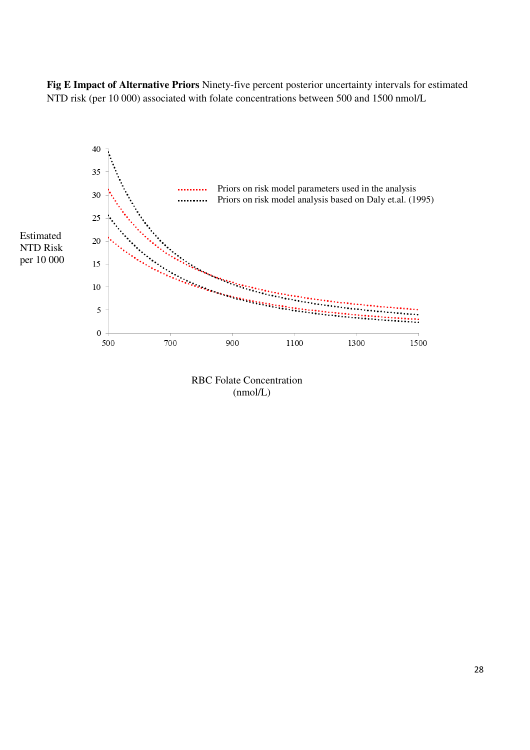**Fig E Impact of Alternative Priors** Ninety-five percent posterior uncertainty intervals for estimated NTD risk (per 10 000) associated with folate concentrations between 500 and 1500 nmol/L



RBC Folate Concentration (nmol/L)